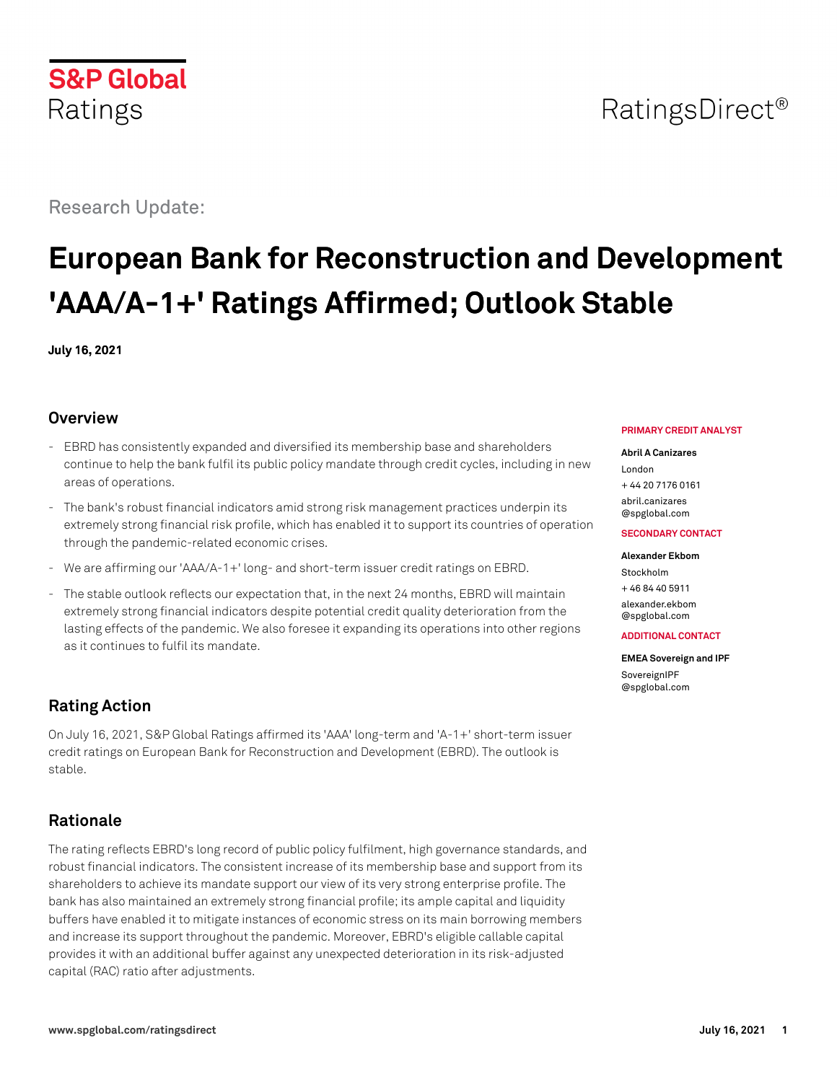

**Rationale**

robust financial indicators. The consistent increase of its membership base and support from its shareholders to achieve its mandate support our view of its very strong enterprise profile. The bank has also maintained an extremely strong financial profile; its ample capital and liquidity buffers have enabled it to mitigate instances of economic stress on its main borrowing members and increase its support throughout the pandemic. Moreover, EBRD's eligible callable capital provides it with an additional buffer against any unexpected deterioration in its risk-adjusted capital (RAC) ratio after adjustments.

On July 16, 2021, S&P Global Ratings affirmed its 'AAA' long-term and 'A-1+' short-term issuer stable.

The rating reflects EBRD's long record of public policy fulfilment, high governance standards, and

# **Rating Action**

credit ratings on European Bank for Reconstruction and Development (EBRD). The outlook is

# **Overview**

**July 16, 2021**

Research Update:

**S&P Global** 

Ratings

- EBRD has consistently expanded and diversified its membership base and shareholders continue to help the bank fulfil its public policy mandate through credit cycles, including in new areas of operations.

**European Bank for Reconstruction and Development**

**'AAA/A-1+' Ratings Affirmed; Outlook Stable**

- The bank's robust financial indicators amid strong risk management practices underpin its extremely strong financial risk profile, which has enabled it to support its countries of operation
- through the pandemic-related economic crises.
- 
- We are affirming our 'AAA/A-1+' long- and short-term issuer credit ratings on EBRD. - The stable outlook reflects our expectation that, in the next 24 months, EBRD will maintain extremely strong financial indicators despite potential credit quality deterioration from the
- 
- lasting effects of the pandemic. We also foresee it expanding its operations into other regions as it continues to fulfil its mandate.

**PRIMARY CREDIT ANALYST**

#### **Abril A Canizares**

London + 44 20 7176 0161

[abril.canizares](mailto:abril.canizares@spglobal.com) [@spglobal.com](mailto:abril.canizares@spglobal.com)

#### **SECONDARY CONTACT**

#### **Alexander Ekbom**

Stockholm + 46 84 40 5911 [alexander.ekbom](mailto:alexander.ekbom@spglobal.com) [@spglobal.com](mailto:alexander.ekbom@spglobal.com)

#### **ADDITIONAL CONTACT**

**EMEA Sovereign and IPF** [SovereignIPF](mailto:SovereignIPF@spglobal.com) [@spglobal.com](mailto:SovereignIPF@spglobal.com)

# RatingsDirect<sup>®</sup>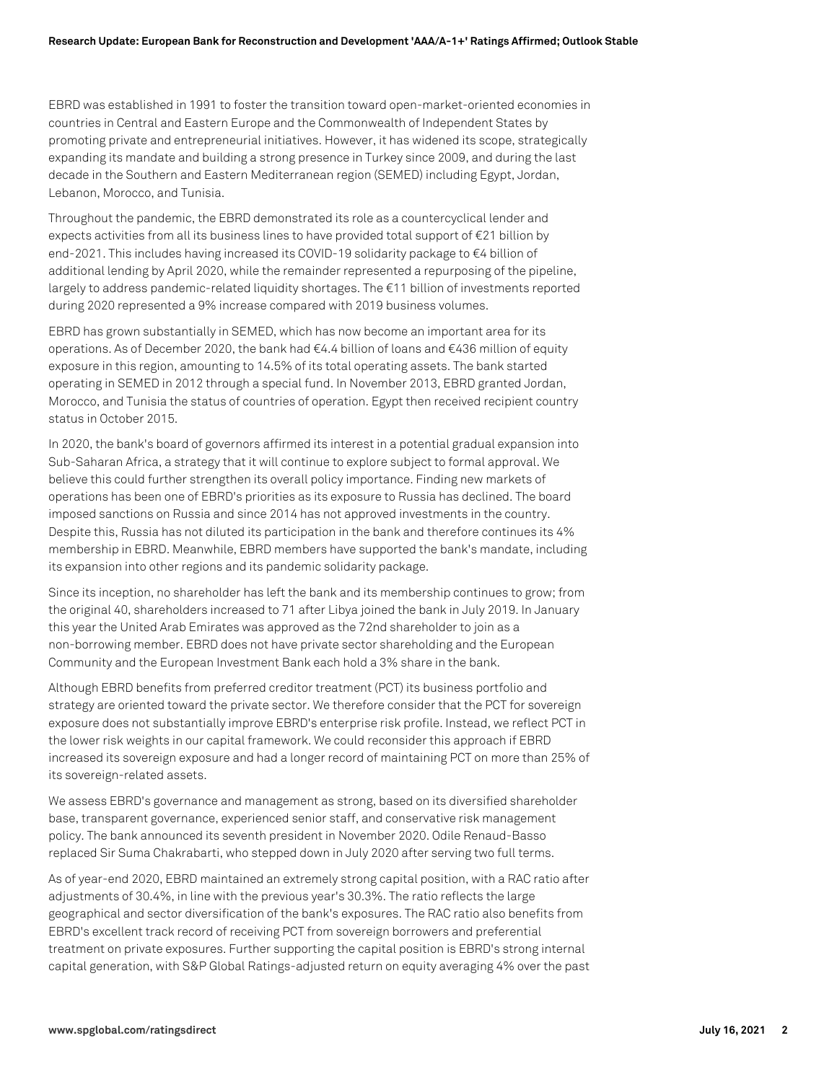EBRD was established in 1991 to foster the transition toward open-market-oriented economies in countries in Central and Eastern Europe and the Commonwealth of Independent States by promoting private and entrepreneurial initiatives. However, it has widened its scope, strategically expanding its mandate and building a strong presence in Turkey since 2009, and during the last decade in the Southern and Eastern Mediterranean region (SEMED) including Egypt, Jordan, Lebanon, Morocco, and Tunisia.

Throughout the pandemic, the EBRD demonstrated its role as a countercyclical lender and expects activities from all its business lines to have provided total support of €21 billion by end-2021. This includes having increased its COVID-19 solidarity package to €4 billion of additional lending by April 2020, while the remainder represented a repurposing of the pipeline, largely to address pandemic-related liquidity shortages. The €11 billion of investments reported during 2020 represented a 9% increase compared with 2019 business volumes.

EBRD has grown substantially in SEMED, which has now become an important area for its operations. As of December 2020, the bank had €4.4 billion of loans and €436 million of equity exposure in this region, amounting to 14.5% of its total operating assets. The bank started operating in SEMED in 2012 through a special fund. In November 2013, EBRD granted Jordan, Morocco, and Tunisia the status of countries of operation. Egypt then received recipient country status in October 2015.

In 2020, the bank's board of governors affirmed its interest in a potential gradual expansion into Sub-Saharan Africa, a strategy that it will continue to explore subject to formal approval. We believe this could further strengthen its overall policy importance. Finding new markets of operations has been one of EBRD's priorities as its exposure to Russia has declined. The board imposed sanctions on Russia and since 2014 has not approved investments in the country. Despite this, Russia has not diluted its participation in the bank and therefore continues its 4% membership in EBRD. Meanwhile, EBRD members have supported the bank's mandate, including its expansion into other regions and its pandemic solidarity package.

Since its inception, no shareholder has left the bank and its membership continues to grow; from the original 40, shareholders increased to 71 after Libya joined the bank in July 2019. In January this year the United Arab Emirates was approved as the 72nd shareholder to join as a non-borrowing member. EBRD does not have private sector shareholding and the European Community and the European Investment Bank each hold a 3% share in the bank.

Although EBRD benefits from preferred creditor treatment (PCT) its business portfolio and strategy are oriented toward the private sector. We therefore consider that the PCT for sovereign exposure does not substantially improve EBRD's enterprise risk profile. Instead, we reflect PCT in the lower risk weights in our capital framework. We could reconsider this approach if EBRD increased its sovereign exposure and had a longer record of maintaining PCT on more than 25% of its sovereign-related assets.

We assess EBRD's governance and management as strong, based on its diversified shareholder base, transparent governance, experienced senior staff, and conservative risk management policy. The bank announced its seventh president in November 2020. Odile Renaud-Basso replaced Sir Suma Chakrabarti, who stepped down in July 2020 after serving two full terms.

As of year-end 2020, EBRD maintained an extremely strong capital position, with a RAC ratio after adjustments of 30.4%, in line with the previous year's 30.3%. The ratio reflects the large geographical and sector diversification of the bank's exposures. The RAC ratio also benefits from EBRD's excellent track record of receiving PCT from sovereign borrowers and preferential treatment on private exposures. Further supporting the capital position is EBRD's strong internal capital generation, with S&P Global Ratings-adjusted return on equity averaging 4% over the past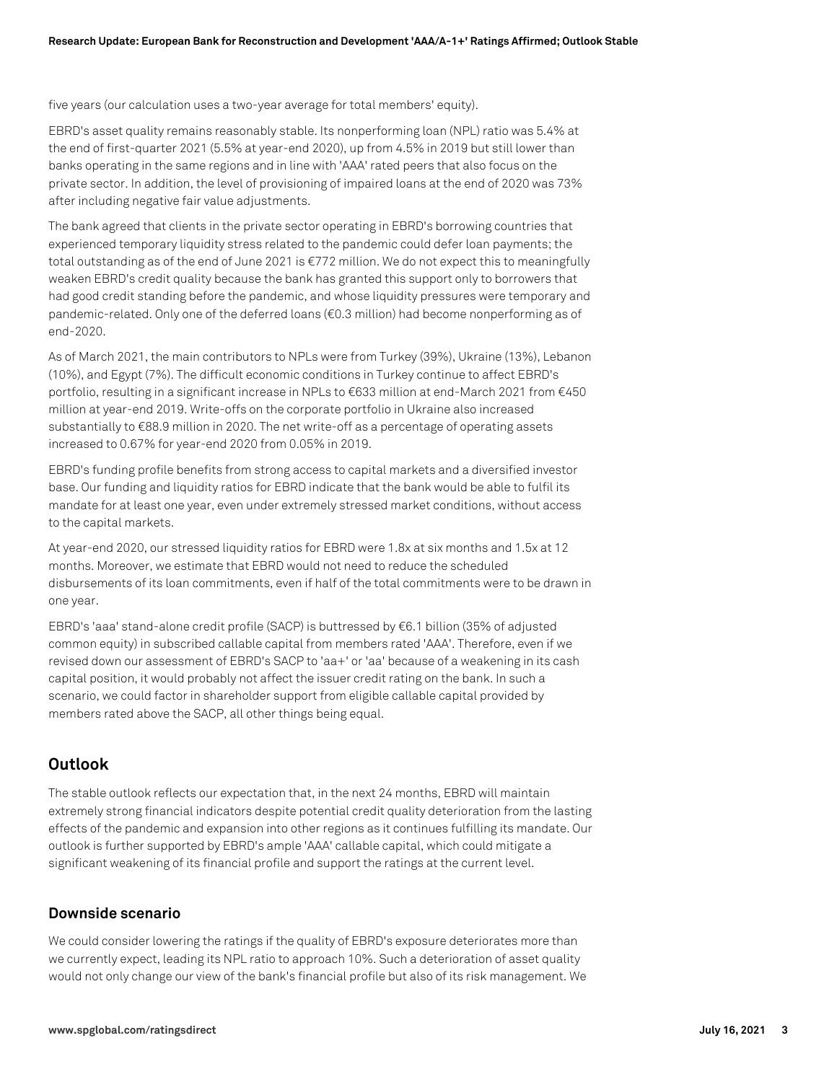five years (our calculation uses a two-year average for total members' equity).

EBRD's asset quality remains reasonably stable. Its nonperforming loan (NPL) ratio was 5.4% at the end of first-quarter 2021 (5.5% at year-end 2020), up from 4.5% in 2019 but still lower than banks operating in the same regions and in line with 'AAA' rated peers that also focus on the private sector. In addition, the level of provisioning of impaired loans at the end of 2020 was 73% after including negative fair value adjustments.

The bank agreed that clients in the private sector operating in EBRD's borrowing countries that experienced temporary liquidity stress related to the pandemic could defer loan payments; the total outstanding as of the end of June 2021 is €772 million. We do not expect this to meaningfully weaken EBRD's credit quality because the bank has granted this support only to borrowers that had good credit standing before the pandemic, and whose liquidity pressures were temporary and pandemic-related. Only one of the deferred loans (€0.3 million) had become nonperforming as of end-2020.

As of March 2021, the main contributors to NPLs were from Turkey (39%), Ukraine (13%), Lebanon (10%), and Egypt (7%). The difficult economic conditions in Turkey continue to affect EBRD's portfolio, resulting in a significant increase in NPLs to €633 million at end-March 2021 from €450 million at year-end 2019. Write-offs on the corporate portfolio in Ukraine also increased substantially to €88.9 million in 2020. The net write-off as a percentage of operating assets increased to 0.67% for year-end 2020 from 0.05% in 2019.

EBRD's funding profile benefits from strong access to capital markets and a diversified investor base. Our funding and liquidity ratios for EBRD indicate that the bank would be able to fulfil its mandate for at least one year, even under extremely stressed market conditions, without access to the capital markets.

At year-end 2020, our stressed liquidity ratios for EBRD were 1.8x at six months and 1.5x at 12 months. Moreover, we estimate that EBRD would not need to reduce the scheduled disbursements of its loan commitments, even if half of the total commitments were to be drawn in one year.

EBRD's 'aaa' stand-alone credit profile (SACP) is buttressed by €6.1 billion (35% of adjusted common equity) in subscribed callable capital from members rated 'AAA'. Therefore, even if we revised down our assessment of EBRD's SACP to 'aa+' or 'aa' because of a weakening in its cash capital position, it would probably not affect the issuer credit rating on the bank. In such a scenario, we could factor in shareholder support from eligible callable capital provided by members rated above the SACP, all other things being equal.

### **Outlook**

The stable outlook reflects our expectation that, in the next 24 months, EBRD will maintain extremely strong financial indicators despite potential credit quality deterioration from the lasting effects of the pandemic and expansion into other regions as it continues fulfilling its mandate. Our outlook is further supported by EBRD's ample 'AAA' callable capital, which could mitigate a significant weakening of its financial profile and support the ratings at the current level.

#### **Downside scenario**

We could consider lowering the ratings if the quality of EBRD's exposure deteriorates more than we currently expect, leading its NPL ratio to approach 10%. Such a deterioration of asset quality would not only change our view of the bank's financial profile but also of its risk management. We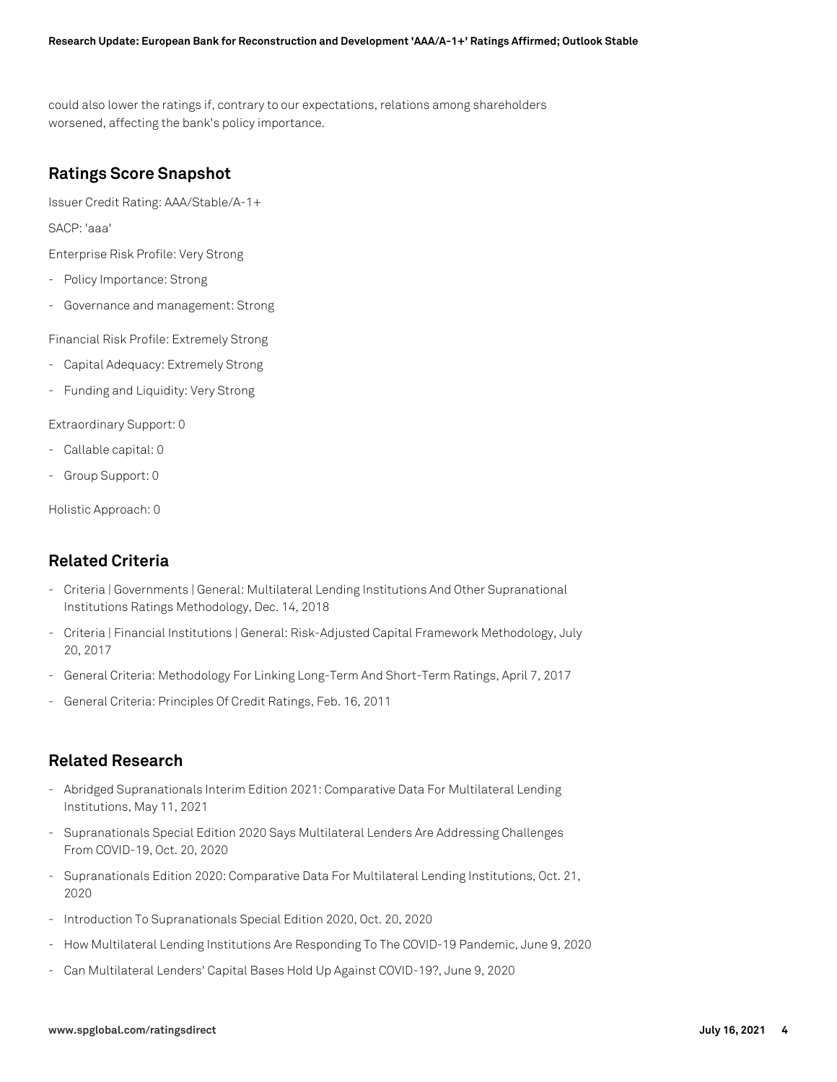could also lower the ratings if, contrary to our expectations, relations among shareholders worsened, affecting the bank's policy importance.

### **Ratings Score Snapshot**

Issuer Credit Rating: AAA/Stable/A-1+

SACP: 'aaa'

Enterprise Risk Profile: Very Strong

- Policy Importance: Strong
- Governance and management: Strong

Financial Risk Profile: Extremely Strong

- Capital Adequacy: Extremely Strong
- Funding and Liquidity: Very Strong

Extraordinary Support: 0

- Callable capital: 0
- Group Support: 0

Holistic Approach: 0

# **Related Criteria**

- Criteria | Governments | General: Multilateral Lending Institutions And Other Supranational Institutions Ratings Methodology, Dec. 14, 2018
- Criteria | Financial Institutions | General: Risk-Adjusted Capital Framework Methodology, July 20, 2017
- General Criteria: Methodology For Linking Long-Term And Short-Term Ratings, April 7, 2017
- General Criteria: Principles Of Credit Ratings, Feb. 16, 2011

# **Related Research**

- Abridged Supranationals Interim Edition 2021: Comparative Data For Multilateral Lending Institutions, May 11, 2021
- Supranationals Special Edition 2020 Says Multilateral Lenders Are Addressing Challenges From COVID-19, Oct. 20, 2020
- Supranationals Edition 2020: Comparative Data For Multilateral Lending Institutions, Oct. 21, 2020
- Introduction To Supranationals Special Edition 2020, Oct. 20, 2020
- How Multilateral Lending Institutions Are Responding To The COVID-19 Pandemic, June 9, 2020
- Can Multilateral Lenders' Capital Bases Hold Up Against COVID-19?, June 9, 2020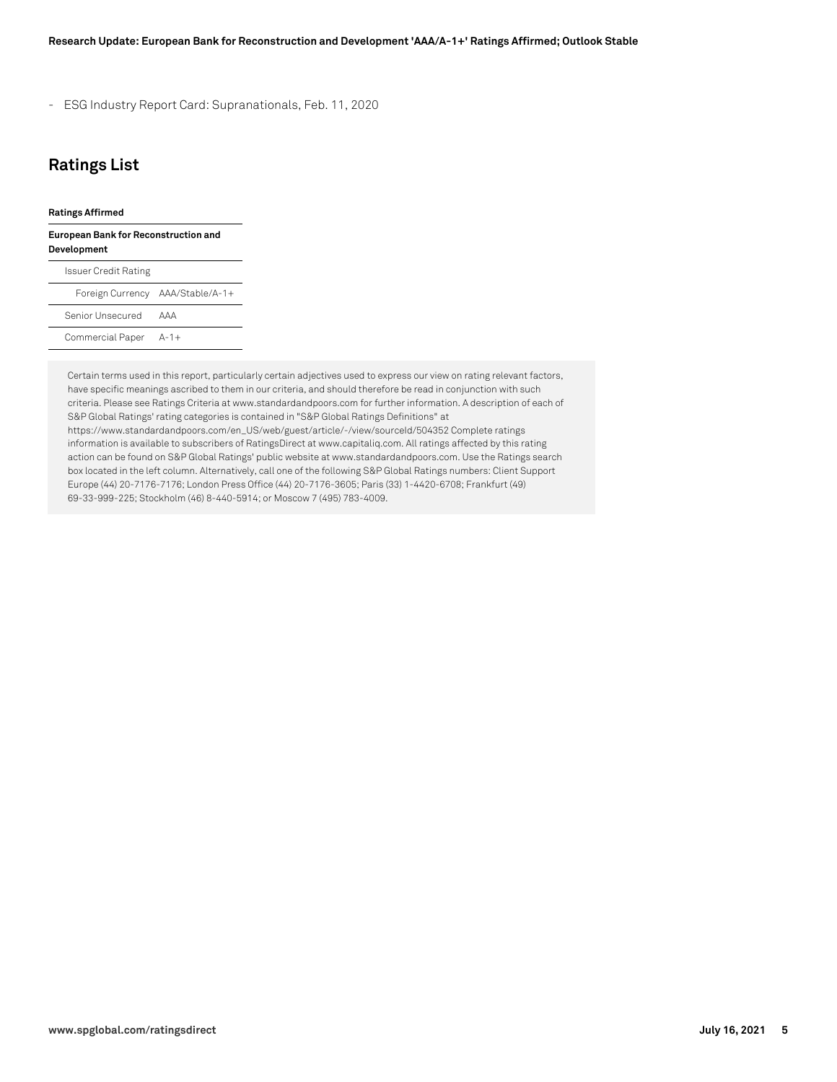- ESG Industry Report Card: Supranationals, Feb. 11, 2020

## **Ratings List**

#### **Ratings Affirmed**

#### **European Bank for Reconstruction and Development**

| Issuer Credit Rating |                                  |
|----------------------|----------------------------------|
|                      | Foreign Currency AAA/Stable/A-1+ |
| Senior Unsecured     | ΔΔΔ                              |
| Commercial Paper     | $A - 1 +$                        |

Certain terms used in this report, particularly certain adjectives used to express our view on rating relevant factors, have specific meanings ascribed to them in our criteria, and should therefore be read in conjunction with such criteria. Please see Ratings Criteria at www.standardandpoors.com for further information. A description of each of S&P Global Ratings' rating categories is contained in "S&P Global Ratings Definitions" at https://www.standardandpoors.com/en\_US/web/guest/article/-/view/sourceId/504352 Complete ratings information is available to subscribers of RatingsDirect at www.capitaliq.com. All ratings affected by this rating action can be found on S&P Global Ratings' public website at www.standardandpoors.com. Use the Ratings search box located in the left column. Alternatively, call one of the following S&P Global Ratings numbers: Client Support Europe (44) 20-7176-7176; London Press Office (44) 20-7176-3605; Paris (33) 1-4420-6708; Frankfurt (49) 69-33-999-225; Stockholm (46) 8-440-5914; or Moscow 7 (495) 783-4009.